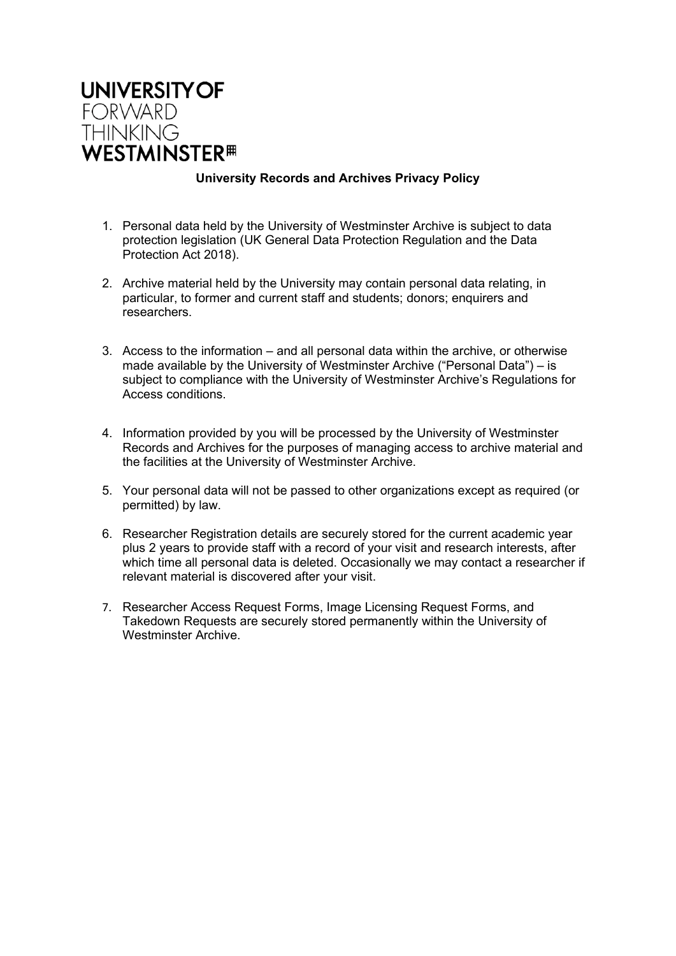

## **University Records and Archives Privacy Policy**

- 1. Personal data held by the University of Westminster Archive is subject to data protection legislation (UK General Data Protection Regulation and the Data Protection Act 2018).
- 2. Archive material held by the University may contain personal data relating, in particular, to former and current staff and students; donors; enquirers and researchers.
- 3. Access to the information and all personal data within the archive, or otherwise made available by the University of Westminster Archive ("Personal Data") – is subject to compliance with the University of Westminster Archive's Regulations for Access conditions.
- 4. Information provided by you will be processed by the University of Westminster Records and Archives for the purposes of managing access to archive material and the facilities at the University of Westminster Archive.
- 5. Your personal data will not be passed to other organizations except as required (or permitted) by law.
- 6. Researcher Registration details are securely stored for the current academic year plus 2 years to provide staff with a record of your visit and research interests, after which time all personal data is deleted. Occasionally we may contact a researcher if relevant material is discovered after your visit.
- 7. Researcher Access Request Forms, Image Licensing Request Forms, and Takedown Requests are securely stored permanently within the University of Westminster Archive.